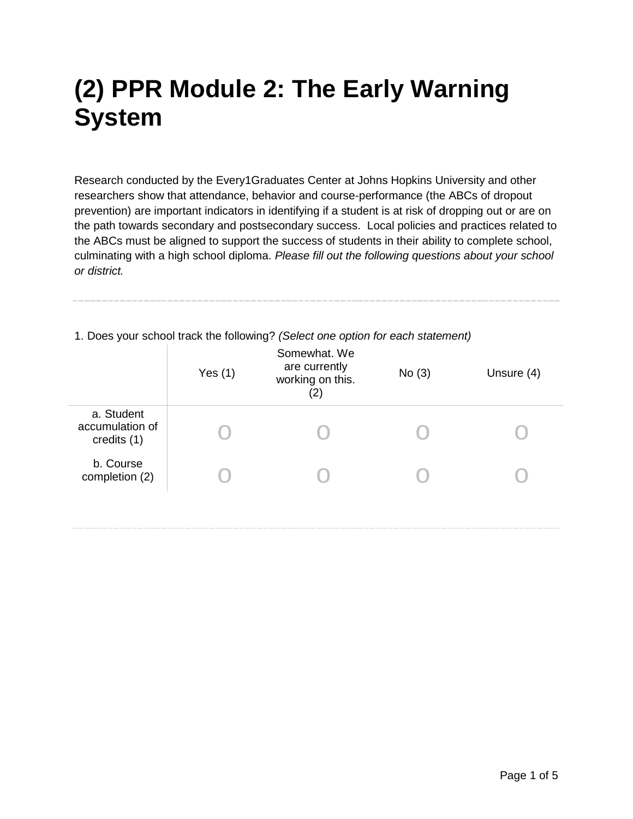## **(2) PPR Module 2: The Early Warning System**

Research conducted by the Every1Graduates Center at Johns Hopkins University and other researchers show that attendance, behavior and course-performance (the ABCs of dropout prevention) are important indicators in identifying if a student is at risk of dropping out or are on the path towards secondary and postsecondary success. Local policies and practices related to the ABCs must be aligned to support the success of students in their ability to complete school, culminating with a high school diploma. *Please fill out the following questions about your school or district.*

|                                              | Yes $(1)$ | Somewhat. We<br>are currently<br>working on this.<br>(2) | No(3) | Unsure (4) |
|----------------------------------------------|-----------|----------------------------------------------------------|-------|------------|
| a. Student<br>accumulation of<br>credits (1) |           |                                                          |       |            |
| b. Course<br>completion (2)                  |           |                                                          |       |            |

1. Does your school track the following? *(Select one option for each statement)*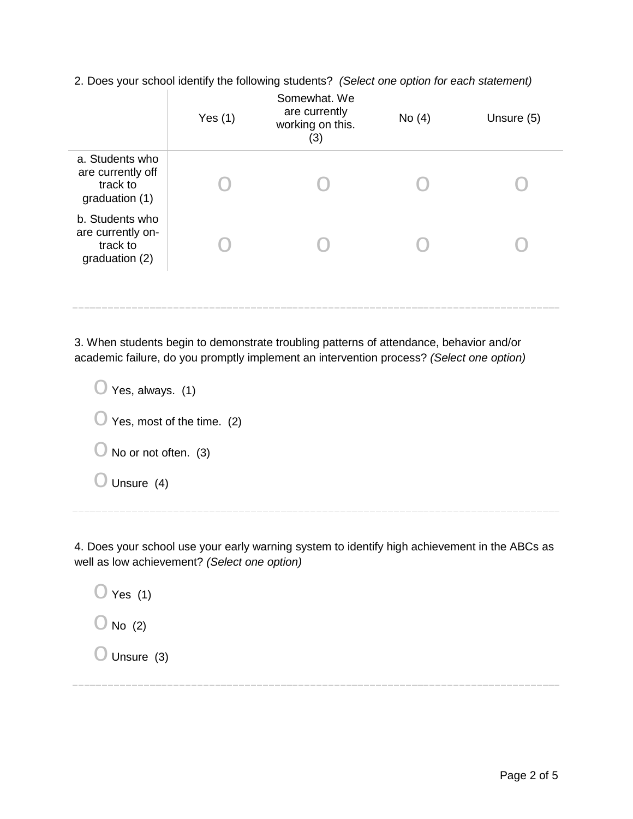2. Does your school identify the following students? *(Select one option for each statement)*

|                                                                    | Yes $(1)$ | Somewhat. We<br>are currently<br>working on this.<br>(3) | No $(4)$ | Unsure (5) |
|--------------------------------------------------------------------|-----------|----------------------------------------------------------|----------|------------|
| a. Students who<br>are currently off<br>track to<br>graduation (1) |           |                                                          |          |            |
| b. Students who<br>are currently on-<br>track to<br>graduation (2) |           |                                                          |          |            |
|                                                                    |           |                                                          |          |            |

3. When students begin to demonstrate troubling patterns of attendance, behavior and/or academic failure, do you promptly implement an intervention process? *(Select one option)*

| $\bigcup$ Yes, always. (1)            |
|---------------------------------------|
| $\bigcirc$ Yes, most of the time. (2) |
| $\bigcup$ No or not often. (3)        |
| Unsure (4)                            |
|                                       |

4. Does your school use your early warning system to identify high achievement in the ABCs as well as low achievement? *(Select one option)*

 $\bigcirc$  Yes (1)  $\bigcirc$  No (2)  $\bigcirc$  Unsure (3)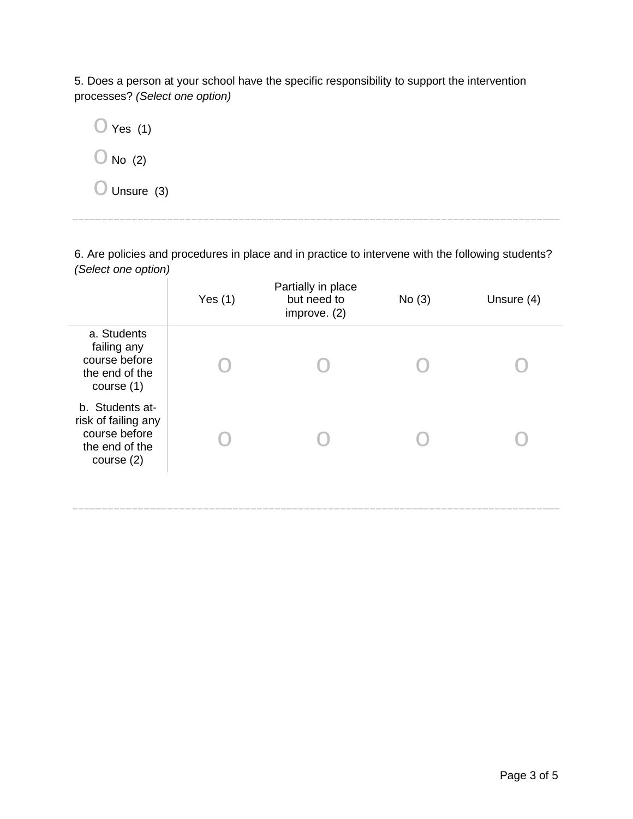5. Does a person at your school have the specific responsibility to support the intervention processes? *(Select one option)*



6. Are policies and procedures in place and in practice to intervene with the following students? *(Select one option)*

|                                                                                           | Yes $(1)$ | Partially in place<br>but need to<br>improve. $(2)$ | No(3) | Unsure (4) |
|-------------------------------------------------------------------------------------------|-----------|-----------------------------------------------------|-------|------------|
| a. Students<br>failing any<br>course before<br>the end of the<br>course $(1)$             |           |                                                     |       |            |
| b. Students at-<br>risk of failing any<br>course before<br>the end of the<br>course $(2)$ |           |                                                     |       |            |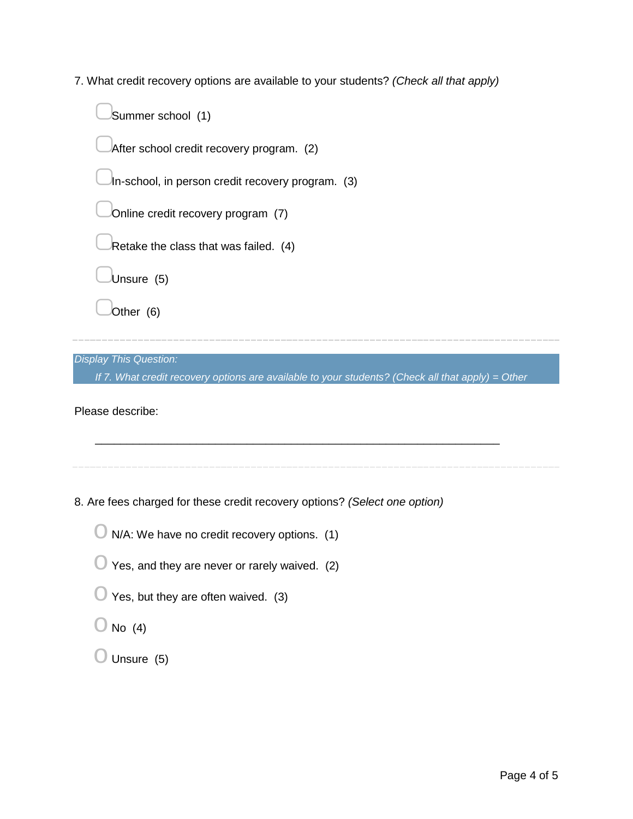7. What credit recovery options are available to your students? *(Check all that apply)*

*Display This Question:*

*If 7. What credit recovery options are available to your students? (Check all that apply) = Other*

\_\_\_\_\_\_\_\_\_\_\_\_\_\_\_\_\_\_\_\_\_\_\_\_\_\_\_\_\_\_\_\_\_\_\_\_\_\_\_\_\_\_\_\_\_\_\_\_\_\_\_\_\_\_\_\_\_\_\_\_\_\_\_\_

Please describe:

8. Are fees charged for these credit recovery options? *(Select one option)*

 $\bigcirc$  N/A: We have no credit recovery options. (1)

| $\bigcirc$ Yes, and they are never or rarely waived. (2) |  |
|----------------------------------------------------------|--|
|----------------------------------------------------------|--|

- $\bigcirc$  Yes, but they are often waived. (3)
- $\bigcirc$  No (4)
- $\bigcirc$  Unsure (5)